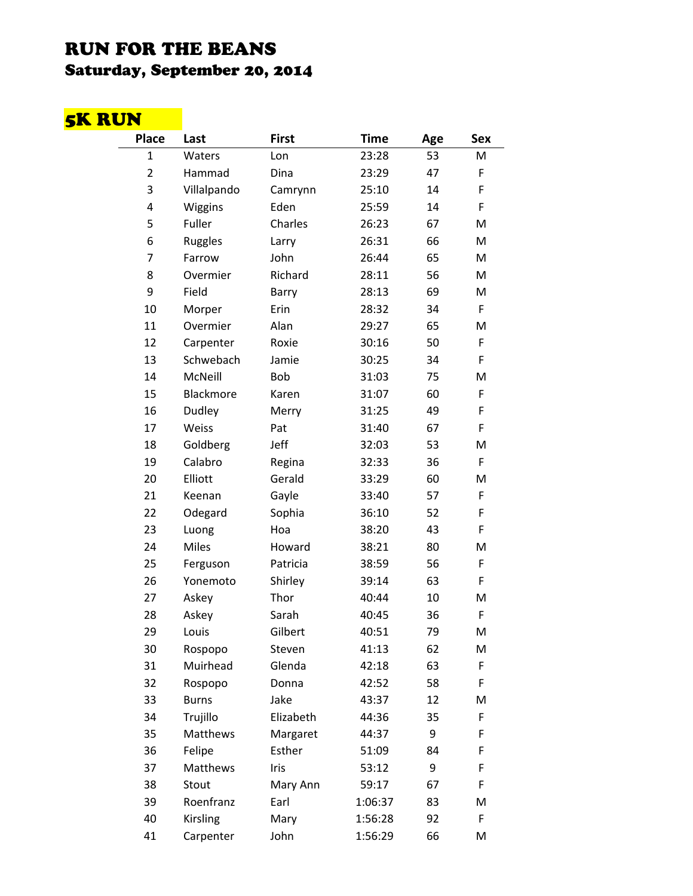## RUN FOR THE BEANS Saturday, September 20, 2014

## 5K RUN

| <b>Place</b>   | Last         | <b>First</b> | <b>Time</b> | Age | Sex |
|----------------|--------------|--------------|-------------|-----|-----|
| $\mathbf{1}$   | Waters       | Lon          | 23:28       | 53  | M   |
| $\overline{2}$ | Hammad       | Dina         | 23:29       | 47  | F   |
| 3              | Villalpando  | Camrynn      | 25:10       | 14  | F   |
| 4              | Wiggins      | Eden         | 25:59       | 14  | F   |
| 5              | Fuller       | Charles      | 26:23       | 67  | M   |
| 6              | Ruggles      | Larry        | 26:31       | 66  | M   |
| 7              | Farrow       | John         | 26:44       | 65  | M   |
| 8              | Overmier     | Richard      | 28:11       | 56  | M   |
| 9              | Field        | Barry        | 28:13       | 69  | M   |
| 10             | Morper       | Erin         | 28:32       | 34  | F   |
| 11             | Overmier     | Alan         | 29:27       | 65  | M   |
| 12             | Carpenter    | Roxie        | 30:16       | 50  | F   |
| 13             | Schwebach    | Jamie        | 30:25       | 34  | F   |
| 14             | McNeill      | Bob          | 31:03       | 75  | M   |
| 15             | Blackmore    | Karen        | 31:07       | 60  | F   |
| 16             | Dudley       | Merry        | 31:25       | 49  | F   |
| 17             | Weiss        | Pat          | 31:40       | 67  | F   |
| 18             | Goldberg     | Jeff         | 32:03       | 53  | M   |
| 19             | Calabro      | Regina       | 32:33       | 36  | F   |
| 20             | Elliott      | Gerald       | 33:29       | 60  | M   |
| 21             | Keenan       | Gayle        | 33:40       | 57  | F   |
| 22             | Odegard      | Sophia       | 36:10       | 52  | F   |
| 23             | Luong        | Hoa          | 38:20       | 43  | F   |
| 24             | <b>Miles</b> | Howard       | 38:21       | 80  | M   |
| 25             | Ferguson     | Patricia     | 38:59       | 56  | F   |
| 26             | Yonemoto     | Shirley      | 39:14       | 63  | F   |
| 27             | Askey        | Thor         | 40:44       | 10  | M   |
| 28             | Askey        | Sarah        | 40:45       | 36  | F   |
| 29             | Louis        | Gilbert      | 40:51       | 79  | M   |
| 30             | Rospopo      | Steven       | 41:13       | 62  | M   |
| 31             | Muirhead     | Glenda       | 42:18       | 63  | F   |
| 32             | Rospopo      | Donna        | 42:52       | 58  | F   |
| 33             | <b>Burns</b> | Jake         | 43:37       | 12  | M   |
| 34             | Trujillo     | Elizabeth    | 44:36       | 35  | F   |
| 35             | Matthews     | Margaret     | 44:37       | 9   | F   |
| 36             | Felipe       | Esther       | 51:09       | 84  | F   |
| 37             | Matthews     | Iris         | 53:12       | 9   | F   |
| 38             | Stout        | Mary Ann     | 59:17       | 67  | F   |
| 39             | Roenfranz    | Earl         | 1:06:37     | 83  | M   |
| 40             | Kirsling     | Mary         | 1:56:28     | 92  | F   |
| 41             | Carpenter    | John         | 1:56:29     | 66  | M   |